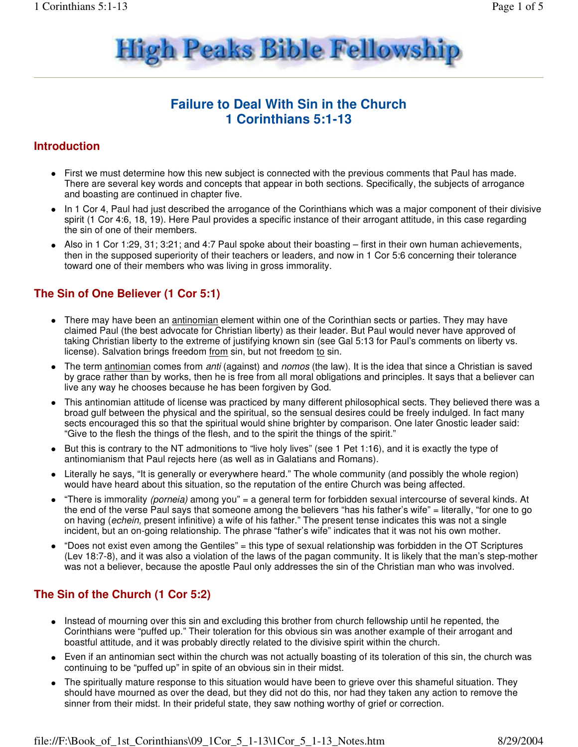

# **Failure to Deal With Sin in the Church 1 Corinthians 5:1-13**

#### **Introduction**

- First we must determine how this new subject is connected with the previous comments that Paul has made. There are several key words and concepts that appear in both sections. Specifically, the subjects of arrogance and boasting are continued in chapter five.
- In 1 Cor 4, Paul had just described the arrogance of the Corinthians which was a major component of their divisive spirit (1 Cor 4:6, 18, 19). Here Paul provides a specific instance of their arrogant attitude, in this case regarding the sin of one of their members.
- Also in 1 Cor 1:29, 31; 3:21; and 4:7 Paul spoke about their boasting first in their own human achievements, then in the supposed superiority of their teachers or leaders, and now in 1 Cor 5:6 concerning their tolerance toward one of their members who was living in gross immorality.

## **The Sin of One Believer (1 Cor 5:1)**

- There may have been an antinomian element within one of the Corinthian sects or parties. They may have claimed Paul (the best advocate for Christian liberty) as their leader. But Paul would never have approved of taking Christian liberty to the extreme of justifying known sin (see Gal 5:13 for Paul's comments on liberty vs. license). Salvation brings freedom from sin, but not freedom to sin.
- The term antinomian comes from anti (against) and nomos (the law). It is the idea that since a Christian is saved by grace rather than by works, then he is free from all moral obligations and principles. It says that a believer can live any way he chooses because he has been forgiven by God.
- This antinomian attitude of license was practiced by many different philosophical sects. They believed there was a broad gulf between the physical and the spiritual, so the sensual desires could be freely indulged. In fact many sects encouraged this so that the spiritual would shine brighter by comparison. One later Gnostic leader said: "Give to the flesh the things of the flesh, and to the spirit the things of the spirit."
- But this is contrary to the NT admonitions to "live holy lives" (see 1 Pet 1:16), and it is exactly the type of antinomianism that Paul rejects here (as well as in Galatians and Romans).
- Literally he says, "It is generally or everywhere heard." The whole community (and possibly the whole region) would have heard about this situation, so the reputation of the entire Church was being affected.
- "There is immorality (porneia) among you" = a general term for forbidden sexual intercourse of several kinds. At the end of the verse Paul says that someone among the believers "has his father's wife" = literally, "for one to go on having (echein, present infinitive) a wife of his father." The present tense indicates this was not a single incident, but an on-going relationship. The phrase "father's wife" indicates that it was not his own mother.
- "Does not exist even among the Gentiles" = this type of sexual relationship was forbidden in the OT Scriptures (Lev 18:7-8), and it was also a violation of the laws of the pagan community. It is likely that the man's step-mother was not a believer, because the apostle Paul only addresses the sin of the Christian man who was involved.

## **The Sin of the Church (1 Cor 5:2)**

- Instead of mourning over this sin and excluding this brother from church fellowship until he repented, the Corinthians were "puffed up." Their toleration for this obvious sin was another example of their arrogant and boastful attitude, and it was probably directly related to the divisive spirit within the church.
- Even if an antinomian sect within the church was not actually boasting of its toleration of this sin, the church was continuing to be "puffed up" in spite of an obvious sin in their midst.
- The spiritually mature response to this situation would have been to grieve over this shameful situation. They should have mourned as over the dead, but they did not do this, nor had they taken any action to remove the sinner from their midst. In their prideful state, they saw nothing worthy of grief or correction.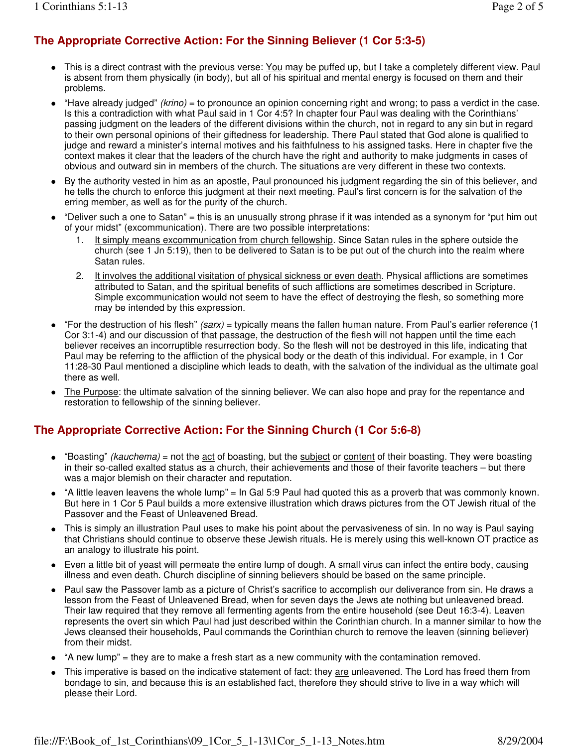# **The Appropriate Corrective Action: For the Sinning Believer (1 Cor 5:3-5)**

- This is a direct contrast with the previous verse: You may be puffed up, but I take a completely different view. Paul is absent from them physically (in body), but all of his spiritual and mental energy is focused on them and their problems.
- "Have already judged" (krino) = to pronounce an opinion concerning right and wrong; to pass a verdict in the case. Is this a contradiction with what Paul said in 1 Cor 4:5? In chapter four Paul was dealing with the Corinthians' passing judgment on the leaders of the different divisions within the church, not in regard to any sin but in regard to their own personal opinions of their giftedness for leadership. There Paul stated that God alone is qualified to judge and reward a minister's internal motives and his faithfulness to his assigned tasks. Here in chapter five the context makes it clear that the leaders of the church have the right and authority to make judgments in cases of obvious and outward sin in members of the church. The situations are very different in these two contexts.
- By the authority vested in him as an apostle, Paul pronounced his judgment regarding the sin of this believer, and he tells the church to enforce this judgment at their next meeting. Paul's first concern is for the salvation of the erring member, as well as for the purity of the church.
- "Deliver such a one to Satan" = this is an unusually strong phrase if it was intended as a synonym for "put him out of your midst" (excommunication). There are two possible interpretations:
	- 1. It simply means excommunication from church fellowship. Since Satan rules in the sphere outside the church (see 1 Jn 5:19), then to be delivered to Satan is to be put out of the church into the realm where Satan rules.
	- 2. It involves the additional visitation of physical sickness or even death. Physical afflictions are sometimes attributed to Satan, and the spiritual benefits of such afflictions are sometimes described in Scripture. Simple excommunication would not seem to have the effect of destroying the flesh, so something more may be intended by this expression.
- "For the destruction of his flesh" (sarx) = typically means the fallen human nature. From Paul's earlier reference (1 Cor 3:1-4) and our discussion of that passage, the destruction of the flesh will not happen until the time each believer receives an incorruptible resurrection body. So the flesh will not be destroyed in this life, indicating that Paul may be referring to the affliction of the physical body or the death of this individual. For example, in 1 Cor 11:28-30 Paul mentioned a discipline which leads to death, with the salvation of the individual as the ultimate goal there as well.
- The Purpose: the ultimate salvation of the sinning believer. We can also hope and pray for the repentance and restoration to fellowship of the sinning believer.

# **The Appropriate Corrective Action: For the Sinning Church (1 Cor 5:6-8)**

- "Boasting" (kauchema) = not the act of boasting, but the subject or content of their boasting. They were boasting in their so-called exalted status as a church, their achievements and those of their favorite teachers – but there was a major blemish on their character and reputation.
- "A little leaven leavens the whole lump" = In Gal 5:9 Paul had quoted this as a proverb that was commonly known. But here in 1 Cor 5 Paul builds a more extensive illustration which draws pictures from the OT Jewish ritual of the Passover and the Feast of Unleavened Bread.
- This is simply an illustration Paul uses to make his point about the pervasiveness of sin. In no way is Paul saying that Christians should continue to observe these Jewish rituals. He is merely using this well-known OT practice as an analogy to illustrate his point.
- Even a little bit of yeast will permeate the entire lump of dough. A small virus can infect the entire body, causing illness and even death. Church discipline of sinning believers should be based on the same principle.
- Paul saw the Passover lamb as a picture of Christ's sacrifice to accomplish our deliverance from sin. He draws a lesson from the Feast of Unleavened Bread, when for seven days the Jews ate nothing but unleavened bread. Their law required that they remove all fermenting agents from the entire household (see Deut 16:3-4). Leaven represents the overt sin which Paul had just described within the Corinthian church. In a manner similar to how the Jews cleansed their households, Paul commands the Corinthian church to remove the leaven (sinning believer) from their midst.
- "A new lump" = they are to make a fresh start as a new community with the contamination removed.
- This imperative is based on the indicative statement of fact: they are unleavened. The Lord has freed them from bondage to sin, and because this is an established fact, therefore they should strive to live in a way which will please their Lord.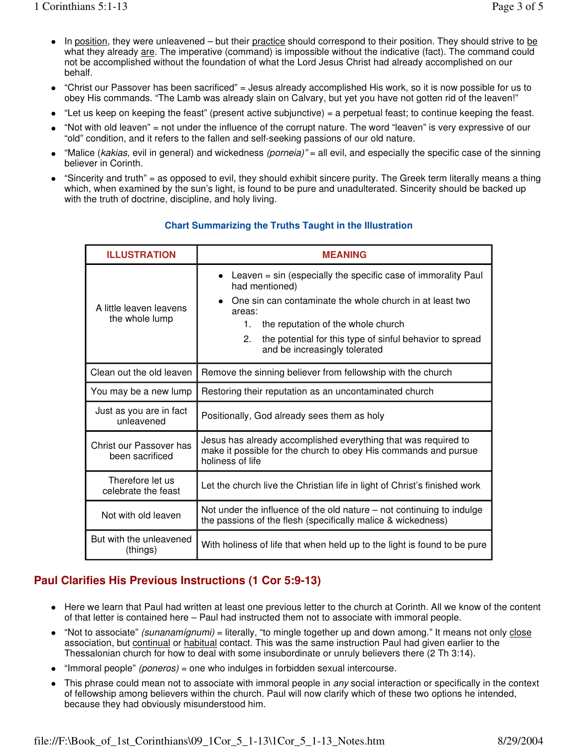- In position, they were unleavened but their practice should correspond to their position. They should strive to be what they already are. The imperative (command) is impossible without the indicative (fact). The command could not be accomplished without the foundation of what the Lord Jesus Christ had already accomplished on our behalf.
- "Christ our Passover has been sacrificed" = Jesus already accomplished His work, so it is now possible for us to obey His commands. "The Lamb was already slain on Calvary, but yet you have not gotten rid of the leaven!"
- "Let us keep on keeping the feast" (present active subjunctive) = a perpetual feast; to continue keeping the feast.
- "Not with old leaven" = not under the influence of the corrupt nature. The word "leaven" is very expressive of our "old" condition, and it refers to the fallen and self-seeking passions of our old nature.
- "Malice (kakias, evil in general) and wickedness (porneia)" = all evil, and especially the specific case of the sinning believer in Corinth.
- "Sincerity and truth" = as opposed to evil, they should exhibit sincere purity. The Greek term literally means a thing which, when examined by the sun's light, is found to be pure and unadulterated. Sincerity should be backed up with the truth of doctrine, discipline, and holy living.

| <b>ILLUSTRATION</b>                        | <b>MEANING</b>                                                                                                                                                                                                                                                                                              |
|--------------------------------------------|-------------------------------------------------------------------------------------------------------------------------------------------------------------------------------------------------------------------------------------------------------------------------------------------------------------|
| A little leaven leavens<br>the whole lump  | Leaven $=$ sin (especially the specific case of immorality Paul<br>had mentioned)<br>One sin can contaminate the whole church in at least two<br>areas:<br>the reputation of the whole church<br>$1_{-}$<br>2.<br>the potential for this type of sinful behavior to spread<br>and be increasingly tolerated |
| Clean out the old leaven                   | Remove the sinning believer from fellowship with the church                                                                                                                                                                                                                                                 |
| You may be a new lump                      | Restoring their reputation as an uncontaminated church                                                                                                                                                                                                                                                      |
| Just as you are in fact<br>unleavened      | Positionally, God already sees them as holy                                                                                                                                                                                                                                                                 |
| Christ our Passover has<br>been sacrificed | Jesus has already accomplished everything that was required to<br>make it possible for the church to obey His commands and pursue<br>holiness of life                                                                                                                                                       |
| Therefore let us<br>celebrate the feast    | Let the church live the Christian life in light of Christ's finished work                                                                                                                                                                                                                                   |
| Not with old leaven                        | Not under the influence of the old nature $-$ not continuing to indulge<br>the passions of the flesh (specifically malice & wickedness)                                                                                                                                                                     |
| But with the unleavened<br>(things)        | With holiness of life that when held up to the light is found to be pure                                                                                                                                                                                                                                    |

#### **Chart Summarizing the Truths Taught in the Illustration**

## **Paul Clarifies His Previous Instructions (1 Cor 5:9-13)**

- Here we learn that Paul had written at least one previous letter to the church at Corinth. All we know of the content of that letter is contained here – Paul had instructed them not to associate with immoral people.
- "Not to associate" (sunanamígnumi) = literally, "to mingle together up and down among." It means not only close association, but continual or habitual contact. This was the same instruction Paul had given earlier to the Thessalonian church for how to deal with some insubordinate or unruly believers there (2 Th 3:14).
- "Immoral people" (poneros) = one who indulges in forbidden sexual intercourse.
- This phrase could mean not to associate with immoral people in any social interaction or specifically in the context of fellowship among believers within the church. Paul will now clarify which of these two options he intended, because they had obviously misunderstood him.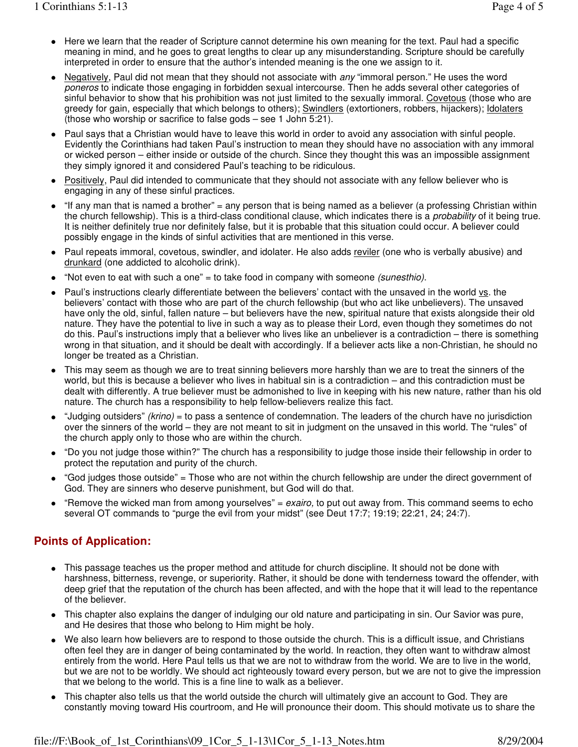- Here we learn that the reader of Scripture cannot determine his own meaning for the text. Paul had a specific meaning in mind, and he goes to great lengths to clear up any misunderstanding. Scripture should be carefully interpreted in order to ensure that the author's intended meaning is the one we assign to it.
- Negatively, Paul did not mean that they should not associate with  $any$  "immoral person." He uses the word poneros to indicate those engaging in forbidden sexual intercourse. Then he adds several other categories of sinful behavior to show that his prohibition was not just limited to the sexually immoral. Covetous (those who are greedy for gain, especially that which belongs to others); Swindlers (extortioners, robbers, hijackers); Idolaters (those who worship or sacrifice to false gods – see 1 John 5:21).
- Paul says that a Christian would have to leave this world in order to avoid any association with sinful people. Evidently the Corinthians had taken Paul's instruction to mean they should have no association with any immoral or wicked person – either inside or outside of the church. Since they thought this was an impossible assignment they simply ignored it and considered Paul's teaching to be ridiculous.
- Positively, Paul did intended to communicate that they should not associate with any fellow believer who is engaging in any of these sinful practices.
- "If any man that is named a brother" = any person that is being named as a believer (a professing Christian within the church fellowship). This is a third-class conditional clause, which indicates there is a *probability* of it being true. It is neither definitely true nor definitely false, but it is probable that this situation could occur. A believer could possibly engage in the kinds of sinful activities that are mentioned in this verse.
- Paul repeats immoral, covetous, swindler, and idolater. He also adds reviler (one who is verbally abusive) and drunkard (one addicted to alcoholic drink).
- "Not even to eat with such a one" = to take food in company with someone (sunesthio).
- Paul's instructions clearly differentiate between the believers' contact with the unsaved in the world vs. the believers' contact with those who are part of the church fellowship (but who act like unbelievers). The unsaved have only the old, sinful, fallen nature – but believers have the new, spiritual nature that exists alongside their old nature. They have the potential to live in such a way as to please their Lord, even though they sometimes do not do this. Paul's instructions imply that a believer who lives like an unbeliever is a contradiction – there is something wrong in that situation, and it should be dealt with accordingly. If a believer acts like a non-Christian, he should no longer be treated as a Christian.
- This may seem as though we are to treat sinning believers more harshly than we are to treat the sinners of the world, but this is because a believer who lives in habitual sin is a contradiction – and this contradiction must be dealt with differently. A true believer must be admonished to live in keeping with his new nature, rather than his old nature. The church has a responsibility to help fellow-believers realize this fact.
- $\bullet$  "Judging outsiders" (krino) = to pass a sentence of condemnation. The leaders of the church have no jurisdiction over the sinners of the world – they are not meant to sit in judgment on the unsaved in this world. The "rules" of the church apply only to those who are within the church.
- "Do you not judge those within?" The church has a responsibility to judge those inside their fellowship in order to protect the reputation and purity of the church.
- "God judges those outside" = Those who are not within the church fellowship are under the direct government of God. They are sinners who deserve punishment, but God will do that.
- "Remove the wicked man from among yourselves" =  $exairo$ , to put out away from. This command seems to echo several OT commands to "purge the evil from your midst" (see Deut 17:7; 19:19; 22:21, 24; 24:7).

### **Points of Application:**

- This passage teaches us the proper method and attitude for church discipline. It should not be done with harshness, bitterness, revenge, or superiority. Rather, it should be done with tenderness toward the offender, with deep grief that the reputation of the church has been affected, and with the hope that it will lead to the repentance of the believer.
- This chapter also explains the danger of indulging our old nature and participating in sin. Our Savior was pure, and He desires that those who belong to Him might be holy.
- We also learn how believers are to respond to those outside the church. This is a difficult issue, and Christians often feel they are in danger of being contaminated by the world. In reaction, they often want to withdraw almost entirely from the world. Here Paul tells us that we are not to withdraw from the world. We are to live in the world, but we are not to be worldly. We should act righteously toward every person, but we are not to give the impression that we belong to the world. This is a fine line to walk as a believer.
- This chapter also tells us that the world outside the church will ultimately give an account to God. They are constantly moving toward His courtroom, and He will pronounce their doom. This should motivate us to share the